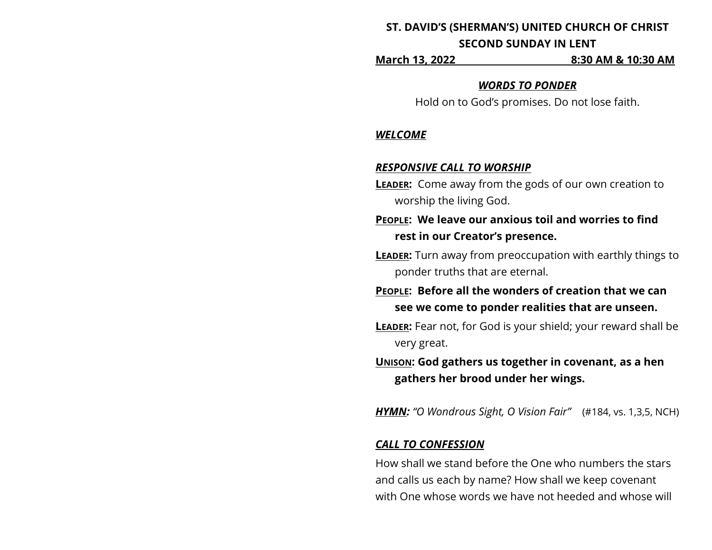# **ST. DAVID'S (SHERMAN'S) UNITED CHURCH OF CHRIST**

## **SECOND SUNDAY IN LENT**

**March 13, 2022 8:30 AM & 10:30 AM**

### *WORDS TO PONDER*

Hold on to God's promises. Do not lose faith.

## *WELCOME*

## *RESPONSIVE CALL TO WORSHIP*

- **LEADER:** Come away from the gods of our own creation to worship the living God.
- **PEOPLE: We leave our anxious toil and worries to find rest in our Creator's presence.**
- **LEADER:** Turn away from preoccupation with earthly things to ponder truths that are eternal.
- **PEOPLE: Before all the wonders of creation that we can see we come to ponder realities that are unseen.**
- **LEADER:** Fear not, for God is your shield; your reward shall be very great.

**UNISON: God gathers us together in covenant, as a hen gathers her brood under her wings.**

*HYMN: "O Wondrous Sight, O Vision Fair"* (#184, vs. 1,3,5, NCH)

## *CALL TO CONFESSION*

How shall we stand before the One who numbers the stars and calls us each by name? How shall we keep covenant with One whose words we have not heeded and whose will